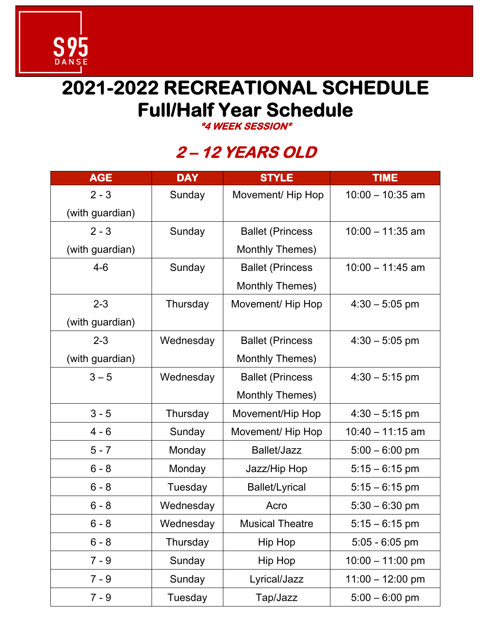# **2021-2022 RECREATIONAL SCHEDULE Full/Half Year Schedule**

S<sub>DANSE</sub>

**\*4 WEEK SESSION\*** 

### **2 – 12 YEARS OLD**

| <b>AGE</b>      | <b>DAY</b> | <b>STYLE</b>             | <b>TIME</b>        |
|-----------------|------------|--------------------------|--------------------|
| $2 - 3$         | Sunday     | Movement/ Hip Hop        | $10:00 - 10:35$ am |
| (with guardian) |            |                          |                    |
| $2 - 3$         | Sunday     | <b>Ballet (Princess)</b> | $10:00 - 11:35$ am |
| (with guardian) |            | <b>Monthly Themes)</b>   |                    |
| $4 - 6$         | Sunday     | <b>Ballet (Princess)</b> | $10:00 - 11:45$ am |
|                 |            | Monthly Themes)          |                    |
| $2 - 3$         | Thursday   | Movement/ Hip Hop        | $4:30 - 5:05$ pm   |
| (with guardian) |            |                          |                    |
| $2 - 3$         | Wednesday  | <b>Ballet (Princess)</b> | $4:30 - 5:05$ pm   |
| (with guardian) |            | Monthly Themes)          |                    |
| $3 - 5$         | Wednesday  | <b>Ballet (Princess)</b> | $4:30 - 5:15$ pm   |
|                 |            | Monthly Themes)          |                    |
| $3 - 5$         | Thursday   | Movement/Hip Hop         | $4:30 - 5:15$ pm   |
| $4 - 6$         | Sunday     | Movement/Hip Hop         | $10:40 - 11:15$ am |
| $5 - 7$         | Monday     | Ballet/Jazz              | $5:00 - 6:00$ pm   |
| $6 - 8$         | Monday     | Jazz/Hip Hop             | $5:15 - 6:15$ pm   |
| $6 - 8$         | Tuesday    | <b>Ballet/Lyrical</b>    | $5:15 - 6:15$ pm   |
| $6 - 8$         | Wednesday  | Acro                     | $5:30 - 6:30$ pm   |
| 6 - 8           | Wednesday  | <b>Musical Theatre</b>   | $5:15 - 6:15$ pm   |
| $6 - 8$         | Thursday   | Hip Hop                  | $5:05 - 6:05$ pm   |
| $7 - 9$         | Sunday     | Hip Hop                  | $10:00 - 11:00$ pm |
| $7 - 9$         | Sunday     | Lyrical/Jazz             | $11:00 - 12:00$ pm |
| $7 - 9$         | Tuesday    | Tap/Jazz                 | $5:00 - 6:00$ pm   |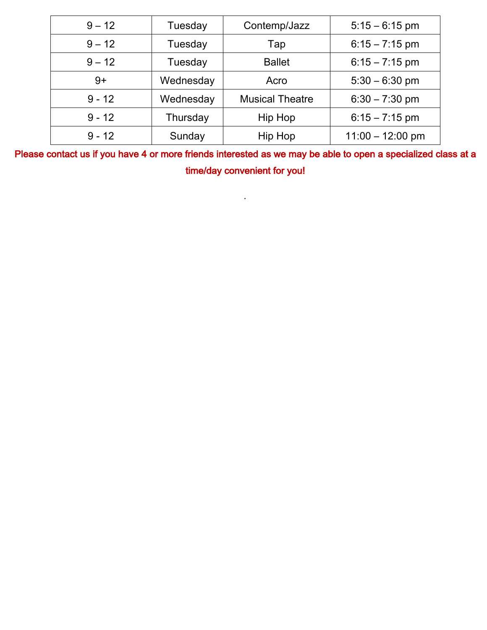| $9 - 12$ | Tuesday   | Contemp/Jazz           | $5:15 - 6:15$ pm   |
|----------|-----------|------------------------|--------------------|
| $9 - 12$ | Tuesday   | Tap                    | $6:15 - 7:15$ pm   |
| $9 - 12$ | Tuesday   | <b>Ballet</b>          | $6:15 - 7:15$ pm   |
| $9+$     | Wednesday | Acro                   | $5:30 - 6:30$ pm   |
| $9 - 12$ | Wednesday | <b>Musical Theatre</b> | $6:30 - 7:30$ pm   |
| $9 - 12$ | Thursday  | Hip Hop                | $6:15 - 7:15$ pm   |
| $9 - 12$ | Sunday    | Hip Hop                | $11:00 - 12:00$ pm |

Please contact us if you have 4 or more friends interested as we may be able to open a specialized class at a time/day convenient for you!

 $\mathcal{L}^{\mathcal{L}}$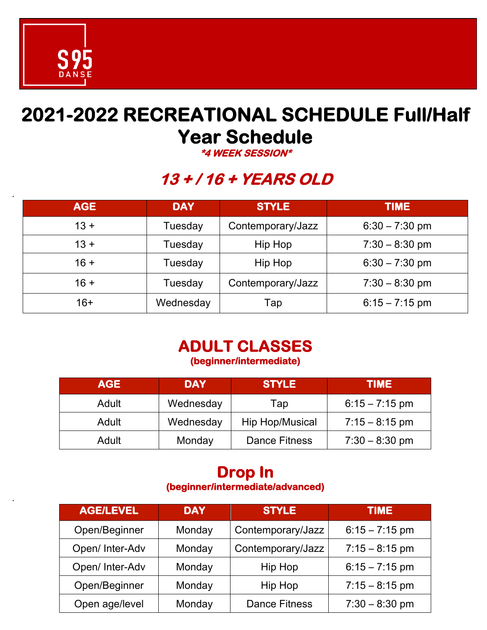

*.*

*.*

### **2021-2022 RECREATIONAL SCHEDULE Full/Half Year Schedule**

**\*4 WEEK SESSION\*** 

### **13 + / 16 + YEARS OLD**

| <b>AGE</b> | <b>DAY</b> | <b>STYLE</b>      | <b>TIME</b>      |
|------------|------------|-------------------|------------------|
| $13 +$     | Tuesday    | Contemporary/Jazz | $6:30 - 7:30$ pm |
| $13 +$     | Tuesday    | Hip Hop           | $7:30 - 8:30$ pm |
| $16 +$     | Tuesday    | Hip Hop           | $6:30 - 7:30$ pm |
| $16 +$     | Tuesday    | Contemporary/Jazz | $7:30 - 8:30$ pm |
| $16+$      | Wednesday  | Tap               | $6:15 - 7:15$ pm |

# **ADULT CLASSES (beginner/intermediate)**

| <b>AGE</b> | <b>DAY</b> | <b>STYLE</b>         | <b>TIME</b>      |
|------------|------------|----------------------|------------------|
| Adult      | Wednesday  | Tap                  | $6:15 - 7:15$ pm |
| Adult      | Wednesday  | Hip Hop/Musical      | $7:15 - 8:15$ pm |
| Adult      | Monday     | <b>Dance Fitness</b> | $7:30 - 8:30$ pm |

# **Drop In (beginner/intermediate/advanced)**

| <b>AGE/LEVEL</b> | <b>DAY</b> | <b>STYLE</b>         | <b>TIME</b>      |
|------------------|------------|----------------------|------------------|
| Open/Beginner    | Monday     | Contemporary/Jazz    | $6:15 - 7:15$ pm |
| Open/ Inter-Adv  | Monday     | Contemporary/Jazz    | $7:15 - 8:15$ pm |
| Open/ Inter-Adv  | Monday     | Hip Hop              | $6:15 - 7:15$ pm |
| Open/Beginner    | Monday     | Hip Hop              | $7:15 - 8:15$ pm |
| Open age/level   | Monday     | <b>Dance Fitness</b> | $7:30 - 8:30$ pm |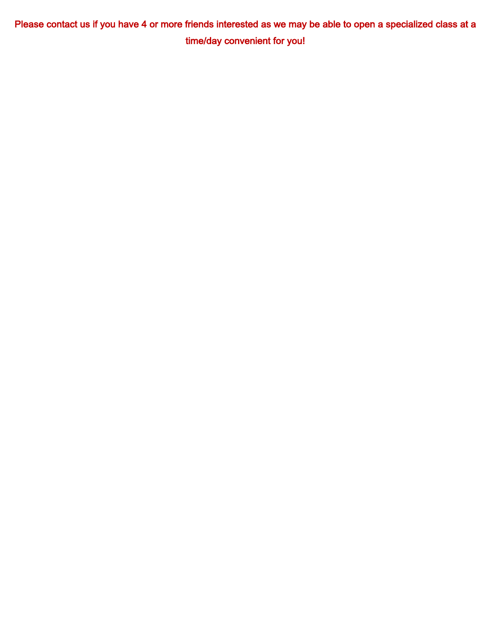Please contact us if you have 4 or more friends interested as we may be able to open a specialized class at a time/day convenient for you!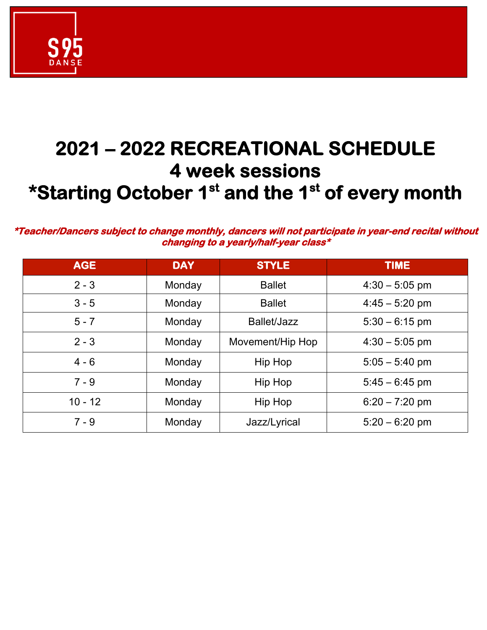

## **2021 – 2022 RECREATIONAL SCHEDULE 4 week sessions \*Starting October 1st and the 1st of every month**

**\*Teacher/Dancers subject to change monthly, dancers will not participate in year-end recital without changing to a yearly/half-year class\*** 

| <b>AGE</b> | <b>DAY</b> | <b>STYLE</b>     | <b>TIME</b>      |
|------------|------------|------------------|------------------|
| $2 - 3$    | Monday     | <b>Ballet</b>    | $4:30 - 5:05$ pm |
| $3 - 5$    | Monday     | <b>Ballet</b>    | $4:45 - 5:20$ pm |
| $5 - 7$    | Monday     | Ballet/Jazz      | $5:30 - 6:15$ pm |
| $2 - 3$    | Monday     | Movement/Hip Hop | $4:30 - 5:05$ pm |
| $4 - 6$    | Monday     | Hip Hop          | $5:05 - 5:40$ pm |
| $7 - 9$    | Monday     | Hip Hop          | $5:45 - 6:45$ pm |
| $10 - 12$  | Monday     | Hip Hop          | $6:20 - 7:20$ pm |
| $7 - 9$    | Monday     | Jazz/Lyrical     | $5:20 - 6:20$ pm |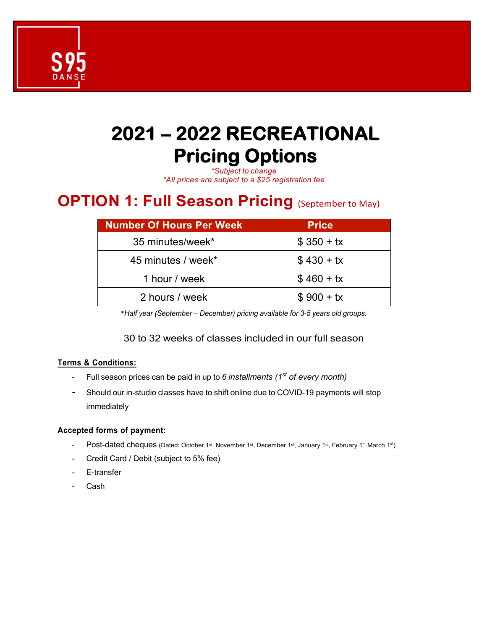

## **2021 – 2022 RECREATIONAL Pricing Options**

*\*Subject to change*

*\*All prices are subject to a \$25 registration fee* 

### **OPTION 1: Full Season Pricing** (September to May)

| <b>Number Of Hours Per Week</b> | <b>Price</b> |
|---------------------------------|--------------|
| 35 minutes/week*                | $$350 + tx$  |
| 45 minutes / week*              | $$430 + tx$  |
| 1 hour / week                   | $$460 + tx$  |
| 2 hours / week                  | $$900 + tx$  |

\**Half year (September – December) pricing available for 3-5 years old groups.*

#### 30 to 32 weeks of classes included in our full season

#### **Terms & Conditions:**

- Full season prices can be paid in up to *6 installments (1st of every month)*
- Should our in-studio classes have to shift online due to COVID-19 payments will stop immediately

#### **Accepted forms of payment:**

- Post-dated cheques (Dated: October 1st, November 1st, December 1st, January 1st, February 1<sup>\*</sup> March 1st)
- Credit Card / Debit (subject to 5% fee)
- E-transfer
- Cash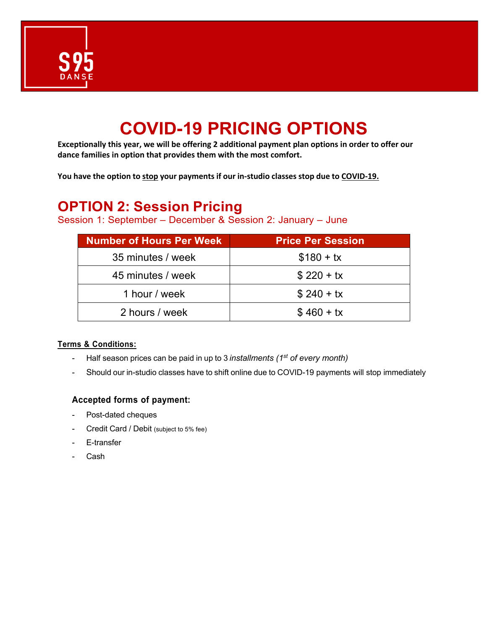

### **COVID-19 PRICING OPTIONS**

**Exceptionally this year, we will be offering 2 additional payment plan options in order to offer our dance families in option that provides them with the most comfort.**

**You have the option to stop your payments if our in-studio classes stop due to COVID-19.**

### **OPTION 2: Session Pricing**

Session 1: September – December & Session 2: January – June

| <b>Number of Hours Per Week</b> | <b>Price Per Session</b> |
|---------------------------------|--------------------------|
| 35 minutes / week               | $$180 + tx$              |
| 45 minutes / week               | $$220 + tx$              |
| 1 hour / week                   | $$240 + tx$              |
| 2 hours / week                  | $$460 + tx$              |

#### **Terms & Conditions:**

- Half season prices can be paid in up to 3 *installments (1st of every month)*
- Should our in-studio classes have to shift online due to COVID-19 payments will stop immediately

#### **Accepted forms of payment:**

- Post-dated cheques
- Credit Card / Debit (subject to 5% fee)
- E-transfer
- Cash